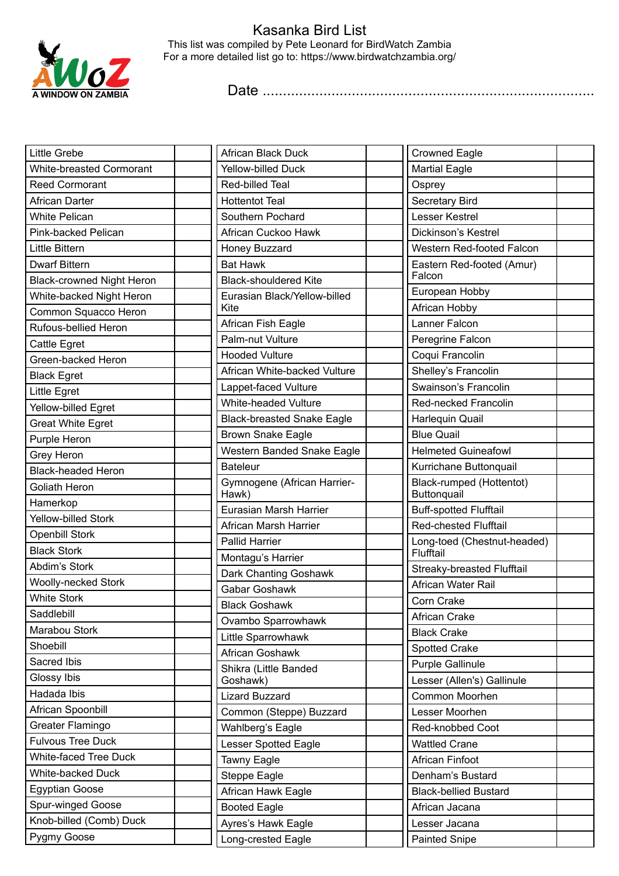

## Kasanka Bird List This list was compiled by Pete Leonard for BirdWatch Zambia For a more detailed list go to: https://www.birdwatchzambia.org/

Date ..................................................................................

| Little Grebe                     | African Black Duck                                  | <b>Crowned Eagle</b>                    |  |
|----------------------------------|-----------------------------------------------------|-----------------------------------------|--|
| <b>White-breasted Cormorant</b>  | <b>Yellow-billed Duck</b><br><b>Martial Eagle</b>   |                                         |  |
| <b>Reed Cormorant</b>            | Red-billed Teal                                     | Osprey                                  |  |
| African Darter                   | <b>Hottentot Teal</b>                               | Secretary Bird                          |  |
| <b>White Pelican</b>             | Southern Pochard                                    | Lesser Kestrel                          |  |
| Pink-backed Pelican              | African Cuckoo Hawk                                 | Dickinson's Kestrel                     |  |
| Little Bittern                   | Honey Buzzard                                       | Western Red-footed Falcon               |  |
| <b>Dwarf Bittern</b>             | <b>Bat Hawk</b>                                     | Eastern Red-footed (Amur)               |  |
| <b>Black-crowned Night Heron</b> | <b>Black-shouldered Kite</b>                        | Falcon                                  |  |
| White-backed Night Heron         | Eurasian Black/Yellow-billed                        | European Hobby                          |  |
| Common Squacco Heron             | Kite                                                | African Hobby                           |  |
| Rufous-bellied Heron             | African Fish Eagle                                  | Lanner Falcon                           |  |
| Cattle Egret                     | Palm-nut Vulture                                    | Peregrine Falcon                        |  |
| Green-backed Heron               | <b>Hooded Vulture</b>                               | Coqui Francolin                         |  |
| <b>Black Egret</b>               | African White-backed Vulture                        | Shelley's Francolin                     |  |
| Little Egret                     | Lappet-faced Vulture                                | Swainson's Francolin                    |  |
| Yellow-billed Egret              | White-headed Vulture                                | Red-necked Francolin                    |  |
| <b>Great White Egret</b>         | <b>Black-breasted Snake Eagle</b>                   | Harlequin Quail                         |  |
| Purple Heron                     | <b>Brown Snake Eagle</b>                            | <b>Blue Quail</b>                       |  |
| Grey Heron                       | Western Banded Snake Eagle                          | <b>Helmeted Guineafowl</b>              |  |
| <b>Black-headed Heron</b>        | <b>Bateleur</b>                                     | Kurrichane Buttonquail                  |  |
| Goliath Heron                    | Gymnogene (African Harrier-<br>Hawk)                | Black-rumped (Hottentot)<br>Buttonquail |  |
| Hamerkop                         | Eurasian Marsh Harrier                              | <b>Buff-spotted Flufftail</b>           |  |
| <b>Yellow-billed Stork</b>       | African Marsh Harrier                               | Red-chested Flufftail                   |  |
| <b>Openbill Stork</b>            | <b>Pallid Harrier</b>                               | Long-toed (Chestnut-headed)             |  |
| <b>Black Stork</b>               | Montagu's Harrier                                   | Flufftail                               |  |
| Abdim's Stork                    | Streaky-breasted Flufftail<br>Dark Chanting Goshawk |                                         |  |
| <b>Woolly-necked Stork</b>       | African Water Rail<br>Gabar Goshawk                 |                                         |  |
| <b>White Stork</b>               | Corn Crake<br><b>Black Goshawk</b>                  |                                         |  |
| Saddlebill                       | Ovambo Sparrowhawk                                  | African Crake                           |  |
| Marabou Stork                    | Little Sparrowhawk                                  | <b>Black Crake</b>                      |  |
| Shoebill                         | African Goshawk                                     | <b>Spotted Crake</b>                    |  |
| Sacred Ibis                      | Shikra (Little Banded                               | Purple Gallinule                        |  |
| Glossy Ibis                      | Goshawk)                                            | Lesser (Allen's) Gallinule              |  |
| Hadada Ibis                      | <b>Lizard Buzzard</b>                               | Common Moorhen                          |  |
| African Spoonbill                | Common (Steppe) Buzzard                             | Lesser Moorhen                          |  |
| Greater Flamingo                 | Wahlberg's Eagle                                    | Red-knobbed Coot                        |  |
| <b>Fulvous Tree Duck</b>         | Lesser Spotted Eagle                                | <b>Wattled Crane</b>                    |  |
| <b>White-faced Tree Duck</b>     | Tawny Eagle                                         | African Finfoot                         |  |
| White-backed Duck                | <b>Steppe Eagle</b>                                 | Denham's Bustard                        |  |
| <b>Egyptian Goose</b>            | African Hawk Eagle                                  | <b>Black-bellied Bustard</b>            |  |
| Spur-winged Goose                | <b>Booted Eagle</b>                                 | African Jacana                          |  |
| Knob-billed (Comb) Duck          | Ayres's Hawk Eagle                                  | Lesser Jacana                           |  |
| Pygmy Goose                      | Long-crested Eagle                                  | Painted Snipe                           |  |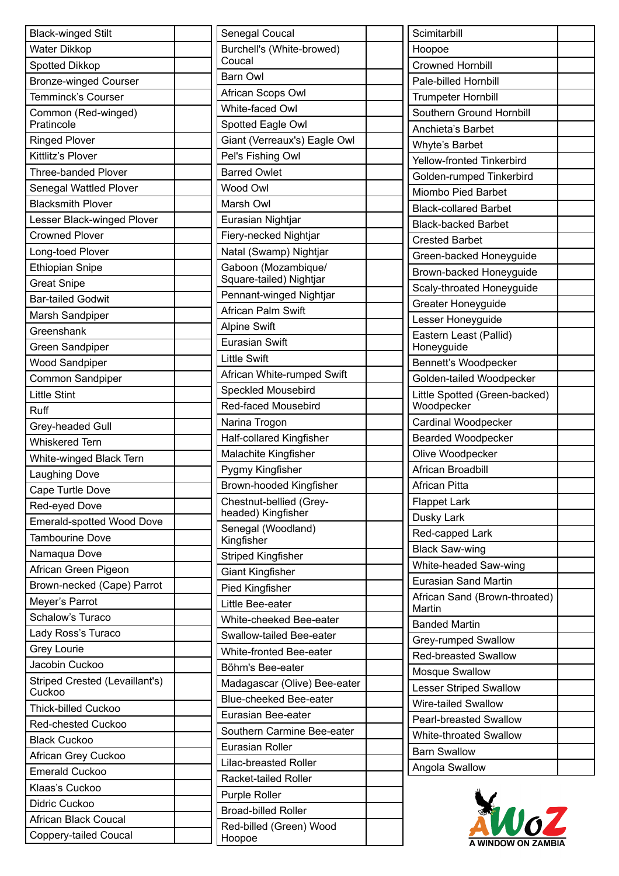| <b>Black-winged Stilt</b>        |  |
|----------------------------------|--|
| Water Dikkop                     |  |
| <b>Spotted Dikkop</b>            |  |
| <b>Bronze-winged Courser</b>     |  |
| <b>Temminck's Courser</b>        |  |
| Common (Red-winged)              |  |
| Pratincole                       |  |
| <b>Ringed Plover</b>             |  |
| Kittlitz's Plover                |  |
| <b>Three-banded Plover</b>       |  |
| Senegal Wattled Plover           |  |
| <b>Blacksmith Plover</b>         |  |
| Lesser Black-winged Plover       |  |
| <b>Crowned Plover</b>            |  |
| Long-toed Plover                 |  |
| <b>Ethiopian Snipe</b>           |  |
| <b>Great Snipe</b>               |  |
| <b>Bar-tailed Godwit</b>         |  |
| Marsh Sandpiper                  |  |
| Greenshank                       |  |
| Green Sandpiper                  |  |
| <b>Wood Sandpiper</b>            |  |
| Common Sandpiper                 |  |
| <b>Little Stint</b>              |  |
| Ruff                             |  |
| Grey-headed Gull                 |  |
| <b>Whiskered Tern</b>            |  |
| White-winged Black Tern          |  |
| <b>Laughing Dove</b>             |  |
| Cape Turtle Dove                 |  |
| Red-eyed Dove                    |  |
| <b>Emerald-spotted Wood Dove</b> |  |
| <b>Tambourine Dove</b>           |  |
| Namaqua Dove                     |  |
| African Green Pigeon             |  |
| Brown-necked (Cape) Parrot       |  |
| Meyer's Parrot                   |  |
| Schalow's Turaco                 |  |
| Lady Ross's Turaco               |  |
| <b>Grey Lourie</b>               |  |
| Jacobin Cuckoo                   |  |
| Striped Crested (Levaillant's)   |  |
| Cuckoo                           |  |
| <b>Thick-billed Cuckoo</b>       |  |
| <b>Red-chested Cuckoo</b>        |  |
| <b>Black Cuckoo</b>              |  |
| African Grey Cuckoo              |  |
| <b>Emerald Cuckoo</b>            |  |
| Klaas's Cuckoo                   |  |
| Didric Cuckoo                    |  |
| <b>African Black Coucal</b>      |  |
| <b>Coppery-tailed Coucal</b>     |  |

| Senegal Coucal                      |  |
|-------------------------------------|--|
| Burchell's (White-browed)<br>Coucal |  |
| <b>Barn Owl</b>                     |  |
| African Scops Owl                   |  |
| White-faced Owl                     |  |
| Spotted Eagle Owl                   |  |
| Giant (Verreaux's) Eagle Owl        |  |
| Pel's Fishing Owl                   |  |
| <b>Barred Owlet</b>                 |  |
| Wood Owl                            |  |
| Marsh Owl                           |  |
| Eurasian Nightjar                   |  |
| Fiery-necked Nightjar               |  |
| Natal (Swamp) Nightjar              |  |
| Gaboon (Mozambique/                 |  |
| Square-tailed) Nightjar             |  |
| Pennant-winged Nightjar             |  |
| African Palm Swift                  |  |
| <b>Alpine Swift</b>                 |  |
| <b>Eurasian Swift</b>               |  |
| <b>Little Swift</b>                 |  |
| African White-rumped Swift          |  |
| <b>Speckled Mousebird</b>           |  |
| Red-faced Mousebird                 |  |
| Narina Trogon                       |  |
| Half-collared Kingfisher            |  |
| Malachite Kingfisher                |  |
| Pygmy Kingfisher                    |  |
| Brown-hooded Kingfisher             |  |
| Chestnut-bellied (Grey-             |  |
| headed) Kingfisher                  |  |
| Senegal (Woodland)<br>Kingfisher    |  |
| <b>Striped Kingfisher</b>           |  |
| <b>Giant Kingfisher</b>             |  |
| Pied Kingfisher                     |  |
| Little Bee-eater                    |  |
| White-cheeked Bee-eater             |  |
| Swallow-tailed Bee-eater            |  |
| White-fronted Bee-eater             |  |
| Böhm's Bee-eater                    |  |
| Madagascar (Olive) Bee-eater        |  |
| Blue-cheeked Bee-eater              |  |
| Eurasian Bee-eater                  |  |
| Southern Carmine Bee-eater          |  |
| Eurasian Roller                     |  |
| Lilac-breasted Roller               |  |
| Racket-tailed Roller                |  |
| Purple Roller                       |  |
| <b>Broad-billed Roller</b>          |  |
| Red-billed (Green) Wood             |  |
| Hoopoe                              |  |

| Scimitarbill                                |  |
|---------------------------------------------|--|
| Hoopoe                                      |  |
| <b>Crowned Hornbill</b>                     |  |
| Pale-billed Hornbill                        |  |
| <b>Trumpeter Hornbill</b>                   |  |
| Southern Ground Hornbill                    |  |
| Anchieta's Barbet                           |  |
| Whyte's Barbet                              |  |
| <b>Yellow-fronted Tinkerbird</b>            |  |
| Golden-rumped Tinkerbird                    |  |
| Miombo Pied Barbet                          |  |
| <b>Black-collared Barbet</b>                |  |
| <b>Black-backed Barbet</b>                  |  |
| <b>Crested Barbet</b>                       |  |
| Green-backed Honeyguide                     |  |
| Brown-backed Honeyguide                     |  |
| Scaly-throated Honeyguide                   |  |
| <b>Greater Honeyguide</b>                   |  |
| Lesser Honeyguide                           |  |
| Eastern Least (Pallid)                      |  |
| Honeyguide                                  |  |
| Bennett's Woodpecker                        |  |
| Golden-tailed Woodpecker                    |  |
| Little Spotted (Green-backed)<br>Woodpecker |  |
| Cardinal Woodpecker                         |  |
| <b>Bearded Woodpecker</b>                   |  |
| Olive Woodpecker                            |  |
| African Broadbill                           |  |
| African Pitta                               |  |
| <b>Flappet Lark</b>                         |  |
| Dusky Lark                                  |  |
| Red-capped Lark                             |  |
| <b>Black Saw-wing</b>                       |  |
| White-headed Saw-wing                       |  |
| <b>Eurasian Sand Martin</b>                 |  |
| African Sand (Brown-throated)<br>Martin     |  |
| <b>Banded Martin</b>                        |  |
| Grey-rumped Swallow                         |  |
| <b>Red-breasted Swallow</b>                 |  |
| <b>Mosque Swallow</b>                       |  |
| <b>Lesser Striped Swallow</b>               |  |
| <b>Wire-tailed Swallow</b>                  |  |
| <b>Pearl-breasted Swallow</b>               |  |
| <b>White-throated Swallow</b>               |  |
| <b>Barn Swallow</b>                         |  |
| Angola Swallow                              |  |

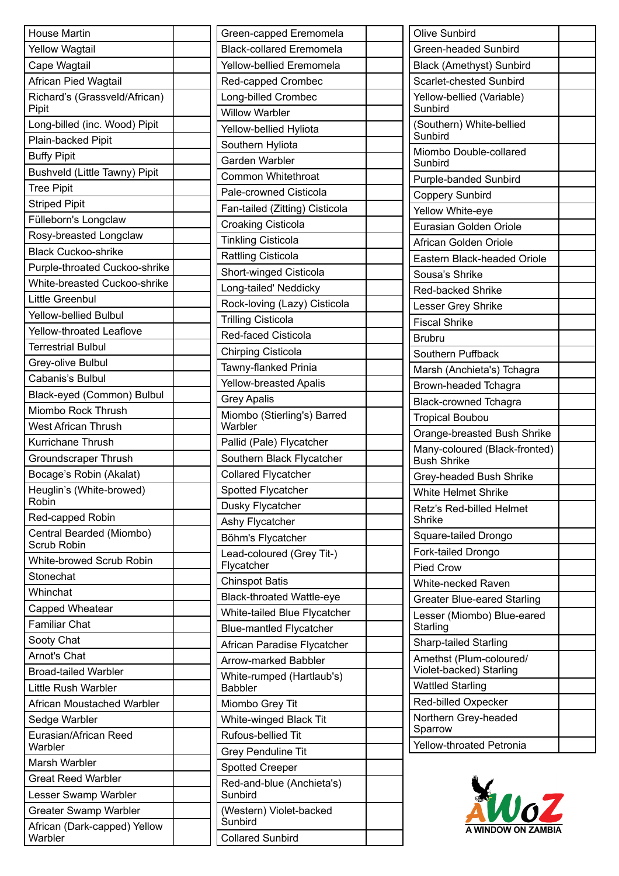| <b>House Martin</b>                     |  |
|-----------------------------------------|--|
| <b>Yellow Wagtail</b>                   |  |
| Cape Wagtail                            |  |
| African Pied Wagtail                    |  |
| Richard's (Grassveld/African)<br>Pipit  |  |
| Long-billed (inc. Wood) Pipit           |  |
| Plain-backed Pipit                      |  |
| <b>Buffy Pipit</b>                      |  |
| Bushveld (Little Tawny) Pipit           |  |
| <b>Tree Pipit</b>                       |  |
| <b>Striped Pipit</b>                    |  |
| Fülleborn's Longclaw                    |  |
| Rosy-breasted Longclaw                  |  |
| <b>Black Cuckoo-shrike</b>              |  |
| Purple-throated Cuckoo-shrike           |  |
| White-breasted Cuckoo-shrike            |  |
| Little Greenbul                         |  |
| <b>Yellow-bellied Bulbul</b>            |  |
| <b>Yellow-throated Leaflove</b>         |  |
| <b>Terrestrial Bulbul</b>               |  |
| Grey-olive Bulbul                       |  |
| Cabanis's Bulbul                        |  |
| Black-eyed (Common) Bulbul              |  |
| Miombo Rock Thrush                      |  |
| <b>West African Thrush</b>              |  |
| <b>Kurrichane Thrush</b>                |  |
| Groundscraper Thrush                    |  |
| Bocage's Robin (Akalat)                 |  |
| Heuglin's (White-browed)<br>Robin       |  |
| Red-capped Robin                        |  |
| Central Bearded (Miombo)<br>Scrub Robin |  |
| White-browed Scrub Robin                |  |
| Stonechat                               |  |
| Whinchat                                |  |
| Capped Wheatear                         |  |
| <b>Familiar Chat</b>                    |  |
| Sooty Chat                              |  |
| Arnot's Chat                            |  |
| <b>Broad-tailed Warbler</b>             |  |
| Little Rush Warbler                     |  |
| African Moustached Warbler              |  |
| Sedge Warbler                           |  |
| Eurasian/African Reed<br>Warbler        |  |
| Marsh Warbler                           |  |
| <b>Great Reed Warbler</b>               |  |
| Lesser Swamp Warbler                    |  |
| <b>Greater Swamp Warbler</b>            |  |
| African (Dark-capped) Yellow<br>Warbler |  |

| Green-capped Eremomela                      |  |
|---------------------------------------------|--|
| <b>Black-collared Eremomela</b>             |  |
| Yellow-bellied Eremomela                    |  |
| Red-capped Crombec                          |  |
| Long-billed Crombec                         |  |
| <b>Willow Warbler</b>                       |  |
| Yellow-bellied Hyliota                      |  |
| Southern Hyliota                            |  |
| Garden Warbler                              |  |
| Common Whitethroat                          |  |
| Pale-crowned Cisticola                      |  |
| Fan-tailed (Zitting) Cisticola              |  |
| <b>Croaking Cisticola</b>                   |  |
| <b>Tinkling Cisticola</b>                   |  |
| <b>Rattling Cisticola</b>                   |  |
|                                             |  |
| Short-winged Cisticola                      |  |
| Long-tailed' Neddicky                       |  |
| Rock-loving (Lazy) Cisticola                |  |
| <b>Trilling Cisticola</b>                   |  |
| Red-faced Cisticola                         |  |
| <b>Chirping Cisticola</b>                   |  |
| Tawny-flanked Prinia                        |  |
| <b>Yellow-breasted Apalis</b>               |  |
| <b>Grey Apalis</b>                          |  |
| Miombo (Stierling's) Barred<br>Warbler      |  |
| Pallid (Pale) Flycatcher                    |  |
| Southern Black Flycatcher                   |  |
| <b>Collared Flycatcher</b>                  |  |
| Spotted Flycatcher                          |  |
| Dusky Flycatcher                            |  |
| Ashy Flycatcher                             |  |
| Böhm's Flycatcher                           |  |
| Lead-coloured (Grey Tit-)<br>Flycatcher     |  |
| <b>Chinspot Batis</b>                       |  |
| <b>Black-throated Wattle-eye</b>            |  |
| White-tailed Blue Flycatcher                |  |
| <b>Blue-mantled Flycatcher</b>              |  |
| African Paradise Flycatcher                 |  |
| Arrow-marked Babbler                        |  |
| White-rumped (Hartlaub's)<br><b>Babbler</b> |  |
| Miombo Grey Tit                             |  |
| White-winged Black Tit                      |  |
| Rufous-bellied Tit                          |  |
| <b>Grey Penduline Tit</b>                   |  |
| <b>Spotted Creeper</b>                      |  |
| Red-and-blue (Anchieta's)                   |  |
| Sunbird                                     |  |
| (Western) Violet-backed<br>Sunbird          |  |
| <b>Collared Sunbird</b>                     |  |

| Olive Sunbird                                       |
|-----------------------------------------------------|
| Green-headed Sunbird                                |
| <b>Black (Amethyst) Sunbird</b>                     |
| Scarlet-chested Sunbird                             |
| Yellow-bellied (Variable)<br>Sunbird                |
| (Southern) White-bellied<br>Sunbird                 |
| Miombo Double-collared<br>Sunbird                   |
| Purple-banded Sunbird                               |
| <b>Coppery Sunbird</b>                              |
| Yellow White-eye                                    |
| Eurasian Golden Oriole                              |
| African Golden Oriole                               |
| Eastern Black-headed Oriole                         |
| Sousa's Shrike                                      |
| Red-backed Shrike                                   |
| Lesser Grey Shrike                                  |
| <b>Fiscal Shrike</b>                                |
| <b>Brubru</b>                                       |
| Southern Puffback                                   |
| Marsh (Anchieta's) Tchagra                          |
| Brown-headed Tchagra                                |
| <b>Black-crowned Tchagra</b>                        |
| <b>Tropical Boubou</b>                              |
| Orange-breasted Bush Shrike                         |
| Many-coloured (Black-fronted)<br><b>Bush Shrike</b> |
| Grey-headed Bush Shrike                             |
| White Helmet Shrike                                 |
| Retz's Red-billed Helmet<br><b>Shrike</b>           |
| Square-tailed Drongo                                |
| Fork-tailed Drongo                                  |
| <b>Pied Crow</b>                                    |
| <b>White-necked Raven</b>                           |
| <b>Greater Blue-eared Starling</b>                  |
| Lesser (Miombo) Blue-eared<br>Starling              |
| <b>Sharp-tailed Starling</b>                        |
| Amethst (Plum-coloured/<br>Violet-backed) Starling  |
| <b>Wattled Starling</b>                             |
| Red-billed Oxpecker                                 |
| Northern Grey-headed<br>Sparrow                     |
| Yellow-throated Petronia                            |